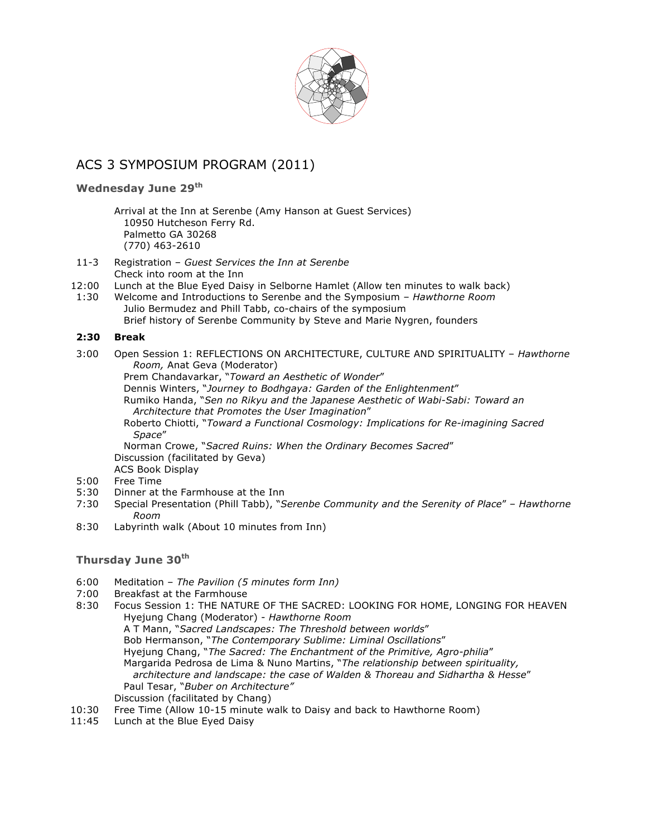

# ACS 3 SYMPOSIUM PROGRAM (2011)

### **Wednesday June 29th**

- Arrival at the Inn at Serenbe (Amy Hanson at Guest Services) 10950 Hutcheson Ferry Rd. Palmetto GA 30268 (770) 463-2610
- 11-3 Registration *Guest Services the Inn at Serenbe* Check into room at the Inn
- 12:00 Lunch at the Blue Eyed Daisy in Selborne Hamlet (Allow ten minutes to walk back)
- 1:30 Welcome and Introductions to Serenbe and the Symposium – *Hawthorne Room* Julio Bermudez and Phill Tabb, co-chairs of the symposium Brief history of Serenbe Community by Steve and Marie Nygren, founders

### **2:30 Break**

3:00 Open Session 1: REFLECTIONS ON ARCHITECTURE, CULTURE AND SPIRITUALITY – *Hawthorne Room,* Anat Geva (Moderator)

Prem Chandavarkar, "*Toward an Aesthetic of Wonder*"

Dennis Winters, "*Journey to Bodhgaya: Garden of the Enlightenment*"

Rumiko Handa, "*Sen no Rikyu and the Japanese Aesthetic of Wabi-Sabi: Toward an Architecture that Promotes the User Imagination*"

Roberto Chiotti, "*Toward a Functional Cosmology: Implications for Re-imagining Sacred Space*"

Norman Crowe, "*Sacred Ruins: When the Ordinary Becomes Sacred*" Discussion (facilitated by Geva)

ACS Book Display

- 5:00 Free Time
- 5:30 Dinner at the Farmhouse at the Inn
- 7:30 Special Presentation (Phill Tabb), "*Serenbe Community and the Serenity of Place*" *Hawthorne Room*
- 8:30 Labyrinth walk (About 10 minutes from Inn)

### **Thursday June 30th**

- 6:00 Meditation *The Pavilion (5 minutes form Inn)*
- 7:00 Breakfast at the Farmhouse
- 8:30 Focus Session 1: THE NATURE OF THE SACRED: LOOKING FOR HOME, LONGING FOR HEAVEN Hyejung Chang (Moderator) - *Hawthorne Room* A T Mann, "*Sacred Landscapes: The Threshold between worlds*" Bob Hermanson, "*The Contemporary Sublime: Liminal Oscillations*" Hyejung Chang, "*The Sacred: The Enchantment of the Primitive, Agro-philia*" Margarida Pedrosa de Lima & Nuno Martins, "*The relationship between spirituality, architecture and landscape: the case of Walden & Thoreau and Sidhartha & Hesse*" Paul Tesar, "*Buber on Architecture"* Discussion (facilitated by Chang)
- 10:30 Free Time (Allow 10-15 minute walk to Daisy and back to Hawthorne Room)
- 11:45 Lunch at the Blue Eyed Daisy